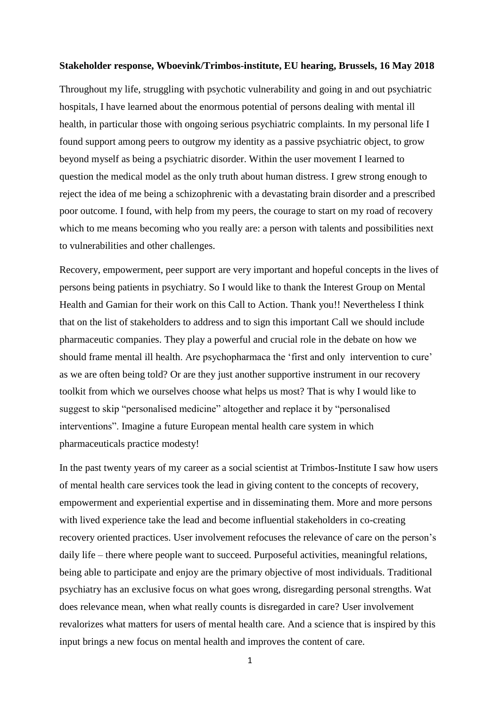## **Stakeholder response, Wboevink/Trimbos-institute, EU hearing, Brussels, 16 May 2018**

Throughout my life, struggling with psychotic vulnerability and going in and out psychiatric hospitals, I have learned about the enormous potential of persons dealing with mental ill health, in particular those with ongoing serious psychiatric complaints. In my personal life I found support among peers to outgrow my identity as a passive psychiatric object, to grow beyond myself as being a psychiatric disorder. Within the user movement I learned to question the medical model as the only truth about human distress. I grew strong enough to reject the idea of me being a schizophrenic with a devastating brain disorder and a prescribed poor outcome. I found, with help from my peers, the courage to start on my road of recovery which to me means becoming who you really are: a person with talents and possibilities next to vulnerabilities and other challenges.

Recovery, empowerment, peer support are very important and hopeful concepts in the lives of persons being patients in psychiatry. So I would like to thank the Interest Group on Mental Health and Gamian for their work on this Call to Action. Thank you!! Nevertheless I think that on the list of stakeholders to address and to sign this important Call we should include pharmaceutic companies. They play a powerful and crucial role in the debate on how we should frame mental ill health. Are psychopharmaca the 'first and only intervention to cure' as we are often being told? Or are they just another supportive instrument in our recovery toolkit from which we ourselves choose what helps us most? That is why I would like to suggest to skip "personalised medicine" altogether and replace it by "personalised interventions". Imagine a future European mental health care system in which pharmaceuticals practice modesty!

In the past twenty years of my career as a social scientist at Trimbos-Institute I saw how users of mental health care services took the lead in giving content to the concepts of recovery, empowerment and experiential expertise and in disseminating them. More and more persons with lived experience take the lead and become influential stakeholders in co-creating recovery oriented practices. User involvement refocuses the relevance of care on the person's daily life – there where people want to succeed. Purposeful activities, meaningful relations, being able to participate and enjoy are the primary objective of most individuals. Traditional psychiatry has an exclusive focus on what goes wrong, disregarding personal strengths. Wat does relevance mean, when what really counts is disregarded in care? User involvement revalorizes what matters for users of mental health care. And a science that is inspired by this input brings a new focus on mental health and improves the content of care.

1